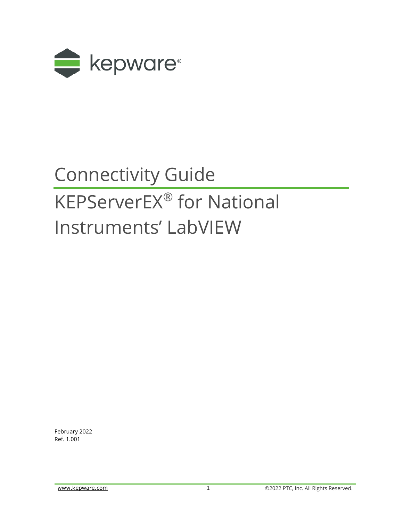

# Connectivity Guide KEPServerEX® for National

## Instruments' LabVIEW

February 2022 Ref. 1.001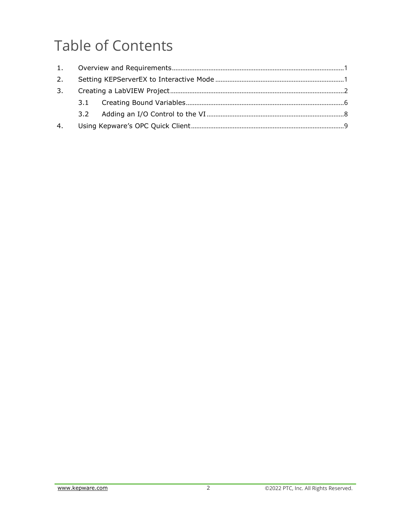### **Table of Contents**

| 4. |  |  |
|----|--|--|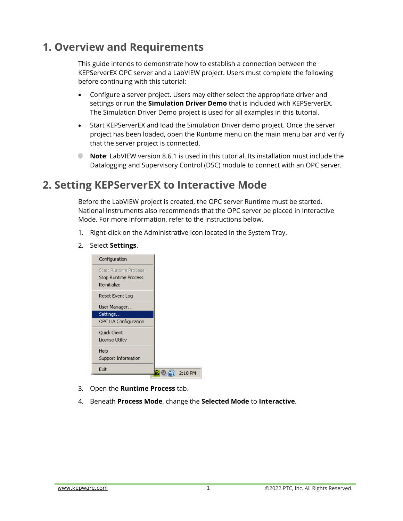#### <span id="page-2-0"></span>**1. Overview and Requirements**

This guide intends to demonstrate how to establish a connection between the KEPServerEX OPC server and a LabVIEW project. Users must complete the following before continuing with this tutorial:

- Configure a server project. Users may either select the appropriate driver and settings or run the **Simulation Driver Demo** that is included with KEPServerEX. The Simulation Driver Demo project is used for all examples in this tutorial.
- Start KEPServerEX and load the Simulation Driver demo project. Once the server project has been loaded, open the Runtime menu on the main menu bar and verify that the server project is connected.
- **Note**: LabVIEW version 8.6.1 is used in this tutorial. Its installation must include the alis -Datalogging and Supervisory Control (DSC) module to connect with an OPC server.

#### <span id="page-2-1"></span>**2. Setting KEPServerEX to Interactive Mode**

Before the LabVIEW project is created, the OPC server Runtime must be started. National Instruments also recommends that the OPC server be placed in Interactive Mode. For more information, refer to the instructions below.

- 1. Right-click on the Administrative icon located in the System Tray.
- 2. Select **Settings**.

| Configuration                                                        |         |
|----------------------------------------------------------------------|---------|
| <b>Start Runtime Process</b><br>Stop Runtime Process<br>Reinitialize |         |
| Reset Event Log                                                      |         |
| User Manager                                                         |         |
| Settings                                                             |         |
| OPC UA Configuration                                                 |         |
| Quick Client<br>License Utility                                      |         |
| Help<br>Support Information                                          |         |
| Exit                                                                 | 2:18 PM |

- 3. Open the **Runtime Process** tab.
- 4. Beneath **Process Mode**, change the **Selected Mode** to **Interactive**.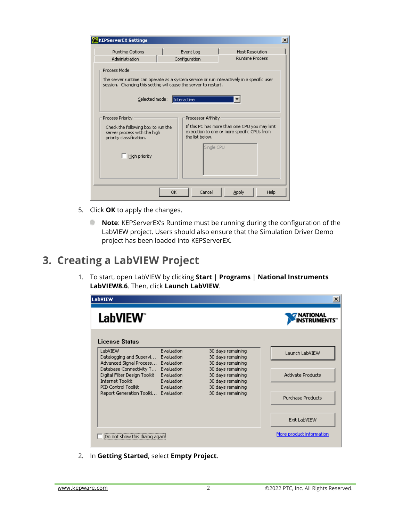| <b>KEPServerEX Settings</b>                                                                                                                                                                                                                                                                 |                                             | $\vert x \vert$                                  |  |  |  |  |  |
|---------------------------------------------------------------------------------------------------------------------------------------------------------------------------------------------------------------------------------------------------------------------------------------------|---------------------------------------------|--------------------------------------------------|--|--|--|--|--|
| Runtime Options<br>Administration                                                                                                                                                                                                                                                           | Event Log<br>Configuration                  | <b>Host Resolution</b><br><b>Runtime Process</b> |  |  |  |  |  |
| Process Mode<br>The server runtime can operate as a system service or run interactively in a specific user<br>session. Changing this setting will cause the server to restart.<br>Selected mode:<br>Interactive                                                                             |                                             |                                                  |  |  |  |  |  |
| Processor Affinity<br>Process Priority<br>If this PC has more than one CPU you may limit<br>Check the following box to run the<br>execution to one or more specific CPUs from<br>server process with the high<br>the list below.<br>priority classification.<br>Single CPU<br>High priority |                                             |                                                  |  |  |  |  |  |
|                                                                                                                                                                                                                                                                                             | OK<br>Cancel<br><b>Help</b><br><b>Apply</b> |                                                  |  |  |  |  |  |

- 5. Click **OK** to apply the changes.
	- **Note**: KEPServerEX's Runtime must be running during the configuration of the ŵ. LabVIEW project. Users should also ensure that the Simulation Driver Demo project has been loaded into KEPServerEX.

#### <span id="page-3-0"></span>**3. Creating a LabVIEW Project**

1. To start, open LabVIEW by clicking **Start** | **Programs** | **National Instruments LabVIEW8.6**. Then, click **Launch LabVIEW**.



2. In **Getting Started**, select **Empty Project**.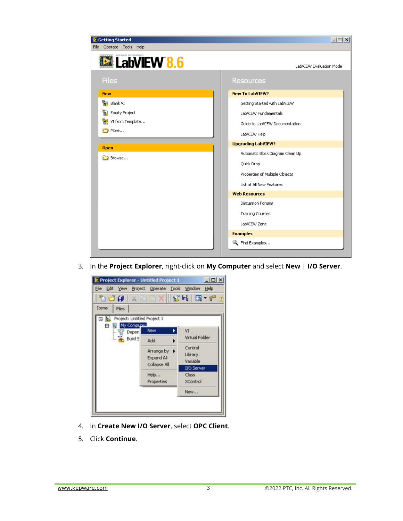

3. In the **Project Explorer**, right-click on **My Computer** and select **New** | **I/O Server**.

| File Edit View Project Operate Tools Window Help |                                  |                    |
|--------------------------------------------------|----------------------------------|--------------------|
| hou x ska f                                      |                                  |                    |
| Items<br><b>Files</b>                            |                                  |                    |
| Project: Untitled Project 1                      |                                  |                    |
| My Computer.<br>白                                | New.                             | VI                 |
| Depen<br>- 77<br>Build S                         |                                  | Virtual Folder     |
|                                                  | Add                              |                    |
|                                                  | Arrange by $\blacktriangleright$ | Control<br>Library |
|                                                  | Expand All                       | Variable           |
|                                                  | Collapse All                     | 1/O Server         |
|                                                  | Help                             | Class.             |
|                                                  | Properties                       | <b>XControl</b>    |
|                                                  |                                  | New                |
|                                                  |                                  |                    |

- 4. In **Create New I/O Server**, select **OPC Client**.
- 5. Click **Continue**.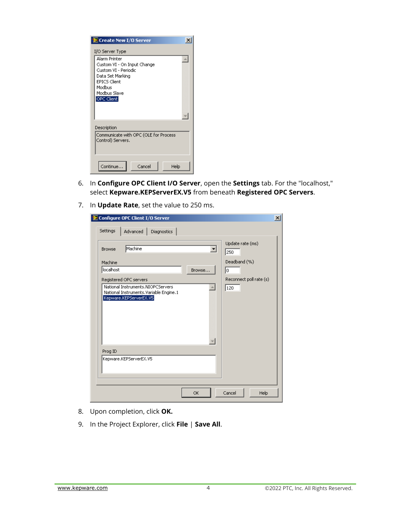| Create New I/O Server                                                                                                                                   |      |  |  |  |  |
|---------------------------------------------------------------------------------------------------------------------------------------------------------|------|--|--|--|--|
| I/O Server Type                                                                                                                                         |      |  |  |  |  |
| Alarm Printer<br>Custom VI - On Input Change<br>Custom VI - Periodic<br>Data Set Marking<br><b>EPICS Client</b><br>Modbus<br>Modbus Slave<br>OPC Client |      |  |  |  |  |
| Description                                                                                                                                             |      |  |  |  |  |
| Communicate with OPC (OLE for Process<br>Control) Servers.                                                                                              |      |  |  |  |  |
| Continue<br>Cancel                                                                                                                                      | Help |  |  |  |  |

- 6. In **Configure OPC Client I/O Server**, open the **Settings** tab. For the "localhost," select **Kepware.KEPServerEX.V5** from beneath **Registered OPC Servers**.
- 7. In **Update Rate**, set the value to 250 ms.

| Configure OPC Client I/O Server                                                                       | $\vert x \vert$         |
|-------------------------------------------------------------------------------------------------------|-------------------------|
| Settings<br>Advanced Diagnostics                                                                      |                         |
| Machine<br><b>Browse</b><br>▼                                                                         | Update rate (ms)<br>250 |
| Machine                                                                                               | Deadband (%)            |
| localhost<br>Browse                                                                                   | I٥                      |
| Registered OPC servers                                                                                | Reconnect poll rate (s) |
| National Instruments.NIOPCServers<br>National Instruments.Variable Engine.1<br>Kepware.KEPServerEX.V5 | 120                     |
| Prog ID                                                                                               |                         |
| Kepware.KEPServerEX.V5                                                                                |                         |
| ОК                                                                                                    | Cancel<br>Help          |

- 8. Upon completion, click **OK.**
- 9. In the Project Explorer, click **File** | **Save All**.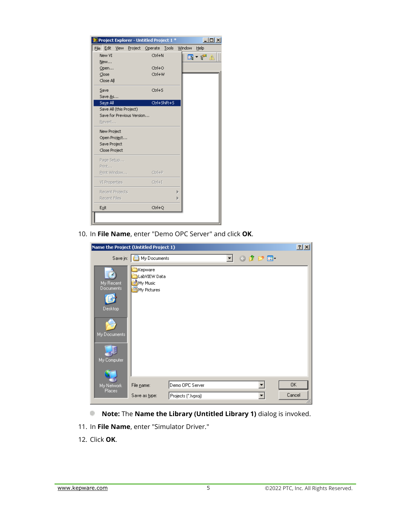|                                                      | Project Explorer - Untitled Project 1 * | $ \Box$        |
|------------------------------------------------------|-----------------------------------------|----------------|
| Edit<br>File                                         | View Project Operate Tools              | Window<br>Help |
| New VI                                               | Ctrl+N                                  | ⊞ ▼ ਿੱ         |
| New                                                  |                                         |                |
| Open                                                 | Ctrl+O                                  |                |
| Close<br>Close All                                   | Ctrl+W                                  |                |
|                                                      |                                         |                |
| Save                                                 | Ctrl+S                                  |                |
| Save As                                              |                                         |                |
| Save All                                             | Ctrl+Shift+S                            |                |
| Save All (this Project)<br>Save for Previous Version |                                         |                |
| Revert                                               |                                         |                |
|                                                      |                                         |                |
| New Project                                          |                                         |                |
| Open Project                                         |                                         |                |
| Save Project                                         |                                         |                |
| Close Project                                        |                                         |                |
| Page Setup                                           |                                         |                |
| Print                                                |                                         |                |
| Print Window                                         | Ctrl+P                                  |                |
| <b>VI Properties</b>                                 | $Ctr +I$                                |                |
| Recent Projects                                      |                                         | Þ              |
| Recent Files                                         |                                         | Þ              |
|                                                      |                                         |                |

10. In **File Name**, enter "Demo OPC Server" and click **OK**.

| Name the Project (Untitled Project 1)                            |                                                    |                     |    |         |        |
|------------------------------------------------------------------|----------------------------------------------------|---------------------|----|---------|--------|
| Save in:                                                         | My Documents                                       |                     | ▾╎ | ⊙ ♪ プ 田 |        |
| My Recent<br>Documents<br>Desktop<br>My Documents<br>My Computer | Kepware<br>LabVIEW Data<br>My Music<br>My Pictures |                     |    |         |        |
| My Network                                                       | File name:                                         | Demo OPC Server     |    |         | 0K     |
| <b>Places</b>                                                    | Save as type:                                      | Projects (".lvproj) |    |         | Cancel |

- **Note:** The **Name the Library (Untitled Library 1)** dialog is invoked.
- 11. In **File Name**, enter "Simulator Driver."
- 12. Click **OK**.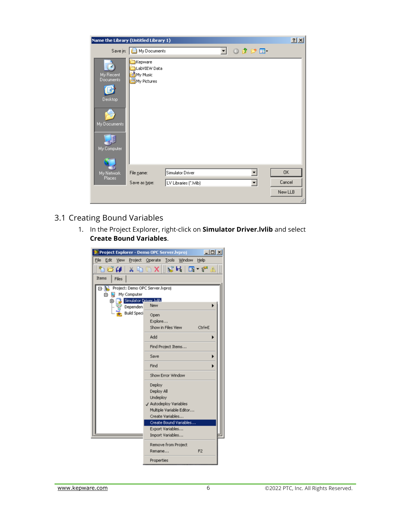|                                                                  | Name the Library (Untitled Library 1)              |                                                                                              | 2x |
|------------------------------------------------------------------|----------------------------------------------------|----------------------------------------------------------------------------------------------|----|
| Save in:                                                         | My Documents                                       | $0$ $0$ $0$ $0$ $m$<br>▾╎                                                                    |    |
| My Recent<br>Documents<br>Desktop<br>My Documents<br>My Computer | Kepware<br>LabVIEW Data<br>My Music<br>My Pictures |                                                                                              |    |
| My Network<br>Places                                             | File name:<br>Save as type:                        | ┯╎<br>Simulator Driver<br>0K<br>Cancel<br>LV Libraries (*.Ivlib)<br>$\overline{\phantom{a}}$ |    |
|                                                                  |                                                    | New LLB                                                                                      |    |

- <span id="page-7-0"></span>3.1 Creating Bound Variables
	- 1. In the Project Explorer, right-click on **Simulator Driver.lvlib** and select **Create Bound Variables**.

| Project Explorer - Demo OPC Server.lyproj                      | $-101 \times$                                    |
|----------------------------------------------------------------|--------------------------------------------------|
|                                                                | File Edit View Project Operate Tools Window Help |
| ำฮั๊# * ฺำ©                                                    | ※Ⅲ記号 I国 - f™                                     |
| <b>Items</b><br>Files                                          |                                                  |
|                                                                |                                                  |
| <b>b.</b> Project: Demo OPC Server hyproj<br>My Computer<br>B. |                                                  |
| Simulator Driver.bdb.<br>卧                                     |                                                  |
| Dependen                                                       | New                                              |
| <b>Build Speci</b>                                             | Open                                             |
|                                                                | Explore                                          |
|                                                                | Show in Files View<br>$C$ trl $+E$               |
|                                                                | Add                                              |
|                                                                | Find Project Items                               |
|                                                                | Save                                             |
|                                                                | Find                                             |
|                                                                | Show Error Window                                |
|                                                                | Deploy                                           |
|                                                                | Deploy All                                       |
|                                                                | Undeploy                                         |
|                                                                | J Autodeploy Variables                           |
|                                                                | Multiple Variable Editor                         |
|                                                                | Create Variables                                 |
|                                                                | Create Bound Variables<br>Export Variables       |
|                                                                | Import Variables                                 |
|                                                                |                                                  |
|                                                                | Remove from Project<br>F <sub>2</sub><br>Rename  |
|                                                                | Properties                                       |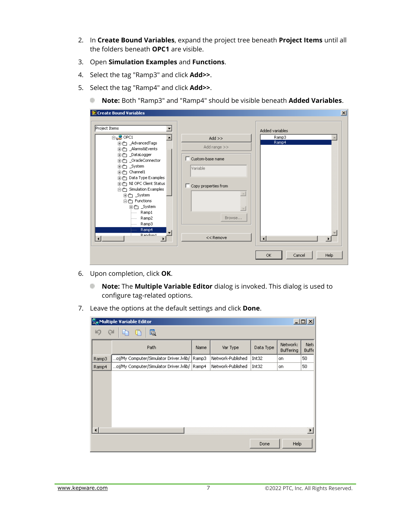- 2. In **Create Bound Variables**, expand the project tree beneath **Project Items** until all the folders beneath **OPC1** are visible.
- 3. Open **Simulation Examples** and **Functions**.
- 4. Select the tag "Ramp3" and click **Add>>**.
- 5. Select the tag "Ramp4" and click **Add>>**.
	- ¢. **Note:** Both "Ramp3" and "Ramp4" should be visible beneath **Added Variables**.

| Project Items                                                                                                                                                                                                                                                                                                           |                                                                                                                                                 | Added variables      |
|-------------------------------------------------------------------------------------------------------------------------------------------------------------------------------------------------------------------------------------------------------------------------------------------------------------------------|-------------------------------------------------------------------------------------------------------------------------------------------------|----------------------|
| $\mathbf{B}_{\mathbf{L}}$ opci<br>由合 _AdvancedTags<br>由合 _Alarms&Events<br>由一 _DataLogger<br>由合 _OracleConnector<br>由一 _System<br>由一 Channel1<br>由合 Data Type Examples<br>由一 NI OPC Client Status<br>白合 Simulation Examples<br>由一 _System<br>白e Functions<br>由一 _System<br>Ramp1<br><br>Ramp2<br><br>⊱…… Ramp3<br>Ramp4 | $Add$ $>>$<br>Add range >><br>$\Box$ Custom-base name<br>Variable<br>Copy properties from<br>$\mathbb{A}$<br>$\overline{\phantom{a}}$<br>Browse | Ramp3<br>Ramp4       |
| D andom1                                                                                                                                                                                                                                                                                                                | $<<$ Remove                                                                                                                                     | $\blacktriangleleft$ |

- 6. Upon completion, click **OK**.
	- ÷ **Note:** The **Multiple Variable Editor** dialog is invoked. This dialog is used to configure tag-related options.
- 7. Leave the options at the default settings and click **Done**.

| $\Box$ D $\Box$<br>Multiple Variable Editor |                                        |       |                   |           |                       |                       |  |
|---------------------------------------------|----------------------------------------|-------|-------------------|-----------|-----------------------|-----------------------|--|
| C                                           | Q                                      |       |                   |           |                       |                       |  |
|                                             | Path                                   | Name  | Var Type          | Data Type | Network:<br>Buffering | Nett<br>Buffe         |  |
| Ramp3                                       | oj/My Computer/Simulator Driver.lvlib/ | Ramp3 | Network-Published | Int32     | on                    | 50                    |  |
| Ramp4                                       | oj/My Computer/Simulator Driver.lvlib/ | Ramp4 | Network-Published | Int32     | on.                   | 50                    |  |
|                                             |                                        |       |                   |           |                       |                       |  |
|                                             |                                        |       |                   |           |                       | $\blacktriangleright$ |  |
|                                             |                                        |       |                   | Done      | Help                  |                       |  |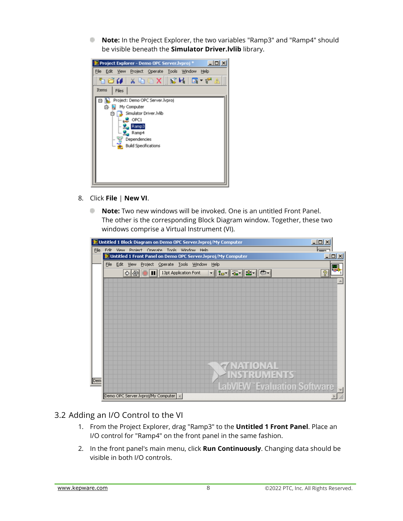**Note:** In the Project Explorer, the two variables "Ramp3" and "Ramp4" should be visible beneath the **Simulator Driver.lvlib** library.



- 8. Click **File** | **New VI**.
	- **Note:** Two new windows will be invoked. One is an untitled Front Panel. The other is the corresponding Block Diagram window. Together, these two windows comprise a Virtual Instrument (VI).

|                                                  |  |  | D Untitled 1 Front Panel on Demo OPC Server. lyproj/My Computer |  |  |  |  |  |            |  |                   |  |  |  |                                    | $\Box$ D $\times$ |
|--------------------------------------------------|--|--|-----------------------------------------------------------------|--|--|--|--|--|------------|--|-------------------|--|--|--|------------------------------------|-------------------|
| File Edit View Project Operate Tools Window Help |  |  |                                                                 |  |  |  |  |  |            |  |                   |  |  |  |                                    |                   |
|                                                  |  |  | $\left \Phi\right $ $\left \Phi\right $ 13pt Application Font   |  |  |  |  |  | ▎▌▌▚▖▏▒▖▏▏ |  |                   |  |  |  |                                    | q                 |
|                                                  |  |  |                                                                 |  |  |  |  |  |            |  |                   |  |  |  |                                    |                   |
|                                                  |  |  |                                                                 |  |  |  |  |  |            |  |                   |  |  |  |                                    |                   |
|                                                  |  |  |                                                                 |  |  |  |  |  |            |  |                   |  |  |  |                                    |                   |
|                                                  |  |  |                                                                 |  |  |  |  |  |            |  |                   |  |  |  |                                    |                   |
|                                                  |  |  |                                                                 |  |  |  |  |  |            |  |                   |  |  |  |                                    |                   |
|                                                  |  |  |                                                                 |  |  |  |  |  |            |  |                   |  |  |  |                                    |                   |
|                                                  |  |  |                                                                 |  |  |  |  |  |            |  |                   |  |  |  |                                    |                   |
|                                                  |  |  |                                                                 |  |  |  |  |  |            |  |                   |  |  |  |                                    |                   |
|                                                  |  |  |                                                                 |  |  |  |  |  |            |  |                   |  |  |  |                                    |                   |
|                                                  |  |  |                                                                 |  |  |  |  |  |            |  |                   |  |  |  |                                    |                   |
|                                                  |  |  |                                                                 |  |  |  |  |  |            |  | <b>TARTIONAL</b>  |  |  |  |                                    |                   |
|                                                  |  |  |                                                                 |  |  |  |  |  |            |  | <b>NSTRUMENTS</b> |  |  |  |                                    |                   |
|                                                  |  |  |                                                                 |  |  |  |  |  |            |  |                   |  |  |  |                                    |                   |
|                                                  |  |  |                                                                 |  |  |  |  |  |            |  |                   |  |  |  | <b>LabVIEW Evaluation Software</b> |                   |

#### <span id="page-9-0"></span>3.2 Adding an I/O Control to the VI

- 1. From the Project Explorer, drag "Ramp3" to the **Untitled 1 Front Panel**. Place an I/O control for "Ramp4" on the front panel in the same fashion.
- 2. In the front panel's main menu, click **Run Continuously**. Changing data should be visible in both I/O controls.